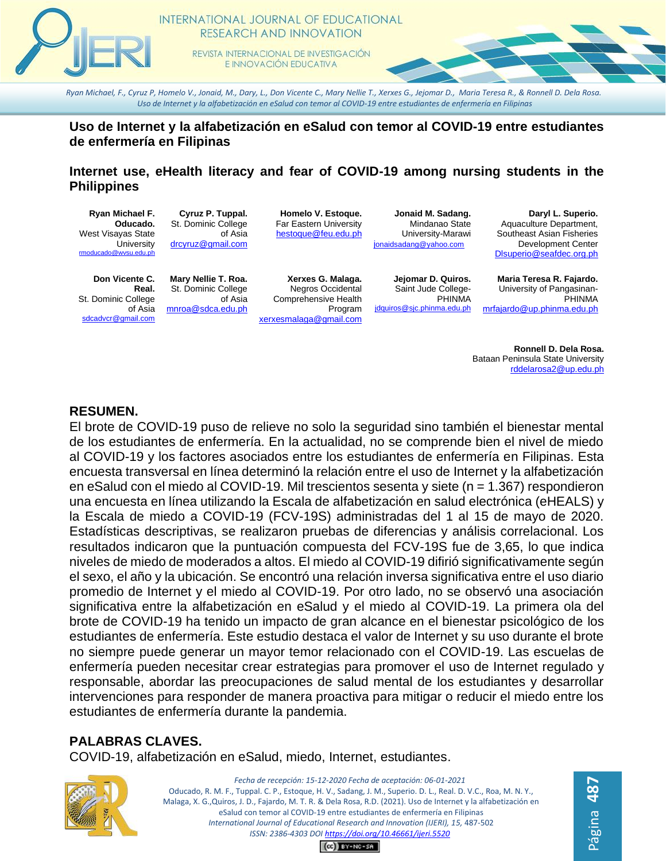

#### INTERNATIONAL JOURNAL OF EDUCATIONAL **RESEARCH AND INNOVATION**

REVISTA INTERNACIONAL DE INVESTIGACIÓN E INNOVACIÓN EDUCATIVA

*Ryan Michael, F., Cyruz P, Homelo V., Jonaid, M., Dary, L., Don Vicente C., Mary Nellie T., Xerxes G., Jejomar D., Maria Teresa R., & Ronnell D. Dela Rosa. Uso de Internet y la alfabetización en eSalud con temor al COVID-19 entre estudiantes de enfermería en Filipinas*

#### **Uso de Internet y la alfabetización en eSalud con temor al COVID-19 entre estudiantes de enfermería en Filipinas**

#### **Internet use, eHealth literacy and fear of COVID-19 among nursing students in the Philippines**

**Ryan Michael F. Oducado.** West Visayas State **University** [rmoducado@wvsu.edu.ph](about:blank)

**Cyruz P. Tuppal.** St. Dominic College of Asia [drcyruz@gmail.com](about:blank)

**Homelo V. Estoque.** Far Eastern University [hestoque@feu.edu.ph](about:blank)

**Jonaid M. Sadang.**  Mindanao State University-Marawi j[onaidsadang@yahoo.com](about:blank)

**Daryl L. Superio.** Aquaculture Department, Southeast Asian Fisheries Development Center [Dlsuperio@seafdec.org.ph](about:blank)

**Don Vicente C. Real.** St. Dominic College of Asia [sdcadvcr@gmail.com](about:blank)

**Mary Nellie T. Roa.** St. Dominic College of Asia [mnroa@sdca.edu.ph](about:blank)

**Xerxes G. Malaga.**  Negros Occidental Comprehensive Health Program [xerxesmalaga@gmail.com](about:blank)

**Jejomar D. Quiros.**  Saint Jude College-PHINMA [jdquiros@sjc.phinma.edu.ph](about:blank)

**Maria Teresa R. Fajardo.** University of Pangasinan-PHINMA [mrfajardo@up.phinma.edu.ph](about:blank)

**Ronnell D. Dela Rosa.** Bataan Peninsula State University [rddelarosa2@up.edu.ph](mailto:rddelarosa2@up.edu.ph)

Página **487**

#### **RESUMEN.**

El brote de COVID-19 puso de relieve no solo la seguridad sino también el bienestar mental de los estudiantes de enfermería. En la actualidad, no se comprende bien el nivel de miedo al COVID-19 y los factores asociados entre los estudiantes de enfermería en Filipinas. Esta encuesta transversal en línea determinó la relación entre el uso de Internet y la alfabetización en eSalud con el miedo al COVID-19. Mil trescientos sesenta y siete (n = 1.367) respondieron una encuesta en línea utilizando la Escala de alfabetización en salud electrónica (eHEALS) y la Escala de miedo a COVID-19 (FCV-19S) administradas del 1 al 15 de mayo de 2020. Estadísticas descriptivas, se realizaron pruebas de diferencias y análisis correlacional. Los resultados indicaron que la puntuación compuesta del FCV-19S fue de 3,65, lo que indica niveles de miedo de moderados a altos. El miedo al COVID-19 difirió significativamente según el sexo, el año y la ubicación. Se encontró una relación inversa significativa entre el uso diario promedio de Internet y el miedo al COVID-19. Por otro lado, no se observó una asociación significativa entre la alfabetización en eSalud y el miedo al COVID-19. La primera ola del brote de COVID-19 ha tenido un impacto de gran alcance en el bienestar psicológico de los estudiantes de enfermería. Este estudio destaca el valor de Internet y su uso durante el brote no siempre puede generar un mayor temor relacionado con el COVID-19. Las escuelas de enfermería pueden necesitar crear estrategias para promover el uso de Internet regulado y responsable, abordar las preocupaciones de salud mental de los estudiantes y desarrollar intervenciones para responder de manera proactiva para mitigar o reducir el miedo entre los estudiantes de enfermería durante la pandemia.

### **PALABRAS CLAVES.**

COVID-19, alfabetización en eSalud, miedo, Internet, estudiantes.



*Fecha de recepción: 15-12-2020 Fecha de aceptación: 06-01-2021* Oducado, R. M. F., Tuppal. C. P., Estoque, H. V., Sadang, J. M., Superio. D. L., Real. D. V.C., Roa, M. N. Y., Malaga, X. G.,Quiros, J. D., Fajardo, M. T. R. & Dela Rosa, R.D. (2021). Uso de Internet y la alfabetización en eSalud con temor al COVID-19 entre estudiantes de enfermería en Filipinas *International Journal of Educational Research and Innovation (IJERI), 15,* 487-502 *ISSN: 2386-4303 DO[I https://doi.org/10.46661/ijeri.5520](https://doi.org/10.46661/ijeri.5520)*

 $CO$  $EY-NC-SA$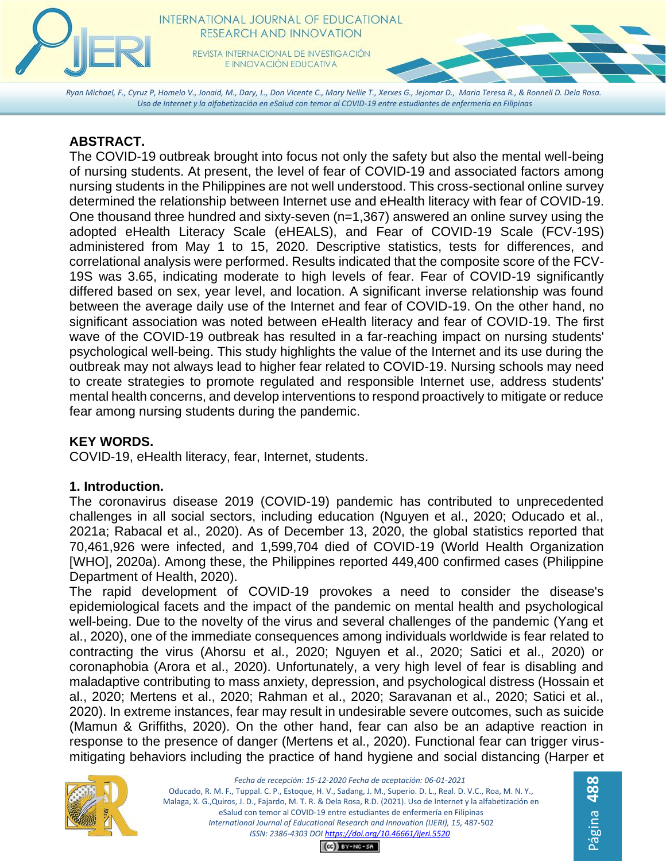

*Ryan Michael, F., Cyruz P, Homelo V., Jonaid, M., Dary, L., Don Vicente C., Mary Nellie T., Xerxes G., Jejomar D., Maria Teresa R., & Ronnell D. Dela Rosa. Uso de Internet y la alfabetización en eSalud con temor al COVID-19 entre estudiantes de enfermería en Filipinas*

# **ABSTRACT.**

The COVID-19 outbreak brought into focus not only the safety but also the mental well-being of nursing students. At present, the level of fear of COVID-19 and associated factors among nursing students in the Philippines are not well understood. This cross-sectional online survey determined the relationship between Internet use and eHealth literacy with fear of COVID-19. One thousand three hundred and sixty-seven (n=1,367) answered an online survey using the adopted eHealth Literacy Scale (eHEALS), and Fear of COVID-19 Scale (FCV-19S) administered from May 1 to 15, 2020. Descriptive statistics, tests for differences, and correlational analysis were performed. Results indicated that the composite score of the FCV-19S was 3.65, indicating moderate to high levels of fear. Fear of COVID-19 significantly differed based on sex, year level, and location. A significant inverse relationship was found between the average daily use of the Internet and fear of COVID-19. On the other hand, no significant association was noted between eHealth literacy and fear of COVID-19. The first wave of the COVID-19 outbreak has resulted in a far-reaching impact on nursing students' psychological well-being. This study highlights the value of the Internet and its use during the outbreak may not always lead to higher fear related to COVID-19. Nursing schools may need to create strategies to promote regulated and responsible Internet use, address students' mental health concerns, and develop interventions to respond proactively to mitigate or reduce fear among nursing students during the pandemic.

## **KEY WORDS.**

COVID-19, eHealth literacy, fear, Internet, students.

## **1. Introduction.**

The coronavirus disease 2019 (COVID-19) pandemic has contributed to unprecedented challenges in all social sectors, including education (Nguyen et al., 2020; Oducado et al., 2021a; Rabacal et al., 2020). As of December 13, 2020, the global statistics reported that 70,461,926 were infected, and 1,599,704 died of COVID-19 (World Health Organization [WHO], 2020a). Among these, the Philippines reported 449,400 confirmed cases (Philippine Department of Health, 2020).

The rapid development of COVID-19 provokes a need to consider the disease's epidemiological facets and the impact of the pandemic on mental health and psychological well-being. Due to the novelty of the virus and several challenges of the pandemic (Yang et al., 2020), one of the immediate consequences among individuals worldwide is fear related to contracting the virus (Ahorsu et al., 2020; Nguyen et al., 2020; Satici et al., 2020) or coronaphobia (Arora et al., 2020). Unfortunately, a very high level of fear is disabling and maladaptive contributing to mass anxiety, depression, and psychological distress (Hossain et al., 2020; Mertens et al., 2020; Rahman et al., 2020; Saravanan et al., 2020; Satici et al., 2020). In extreme instances, fear may result in undesirable severe outcomes, such as suicide (Mamun & Griffiths, 2020). On the other hand, fear can also be an adaptive reaction in response to the presence of danger (Mertens et al., 2020). Functional fear can trigger virusmitigating behaviors including the practice of hand hygiene and social distancing (Harper et

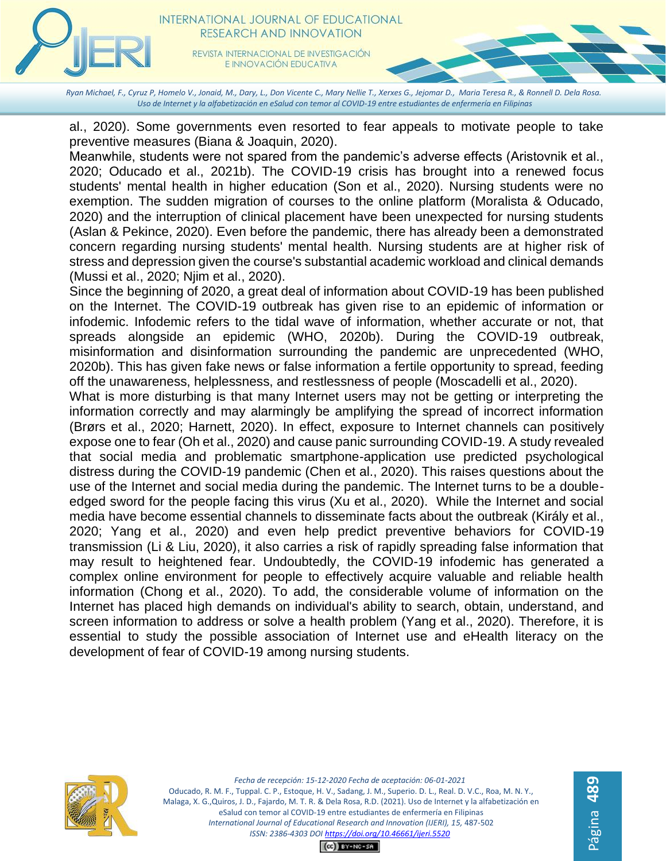

*Ryan Michael, F., Cyruz P, Homelo V., Jonaid, M., Dary, L., Don Vicente C., Mary Nellie T., Xerxes G., Jejomar D., Maria Teresa R., & Ronnell D. Dela Rosa. Uso de Internet y la alfabetización en eSalud con temor al COVID-19 entre estudiantes de enfermería en Filipinas*

al., 2020). Some governments even resorted to fear appeals to motivate people to take preventive measures (Biana & Joaquin, 2020).

Meanwhile, students were not spared from the pandemic's adverse effects (Aristovnik et al., 2020; Oducado et al., 2021b). The COVID-19 crisis has brought into a renewed focus students' mental health in higher education (Son et al., 2020). Nursing students were no exemption. The sudden migration of courses to the online platform (Moralista & Oducado, 2020) and the interruption of clinical placement have been unexpected for nursing students (Aslan & Pekince, 2020). Even before the pandemic, there has already been a demonstrated concern regarding nursing students' mental health. Nursing students are at higher risk of stress and depression given the course's substantial academic workload and clinical demands (Mussi et al., 2020; Njim et al., 2020).

Since the beginning of 2020, a great deal of information about COVID-19 has been published on the Internet. The COVID-19 outbreak has given rise to an epidemic of information or infodemic. Infodemic refers to the tidal wave of information, whether accurate or not, that spreads alongside an epidemic (WHO, 2020b). During the COVID-19 outbreak, misinformation and disinformation surrounding the pandemic are unprecedented (WHO, 2020b). This has given fake news or false information a fertile opportunity to spread, feeding off the unawareness, helplessness, and restlessness of people (Moscadelli et al., 2020).

What is more disturbing is that many Internet users may not be getting or interpreting the information correctly and may alarmingly be amplifying the spread of incorrect information (Brørs et al., 2020; Harnett, 2020). In effect, exposure to Internet channels can positively expose one to fear (Oh et al., 2020) and cause panic surrounding COVID-19. A study revealed that social media and problematic smartphone-application use predicted psychological distress during the COVID-19 pandemic (Chen et al., 2020). This raises questions about the use of the Internet and social media during the pandemic. The Internet turns to be a doubleedged sword for the people facing this virus (Xu et al., 2020). While the Internet and social media have become essential channels to disseminate facts about the outbreak (Király et al., 2020; Yang et al., 2020) and even help predict preventive behaviors for COVID-19 transmission (Li & Liu, 2020), it also carries a risk of rapidly spreading false information that may result to heightened fear. Undoubtedly, the COVID-19 infodemic has generated a complex online environment for people to effectively acquire valuable and reliable health information (Chong et al., 2020). To add, the considerable volume of information on the Internet has placed high demands on individual's ability to search, obtain, understand, and screen information to address or solve a health problem (Yang et al., 2020). Therefore, it is essential to study the possible association of Internet use and eHealth literacy on the development of fear of COVID-19 among nursing students.



*Fecha de recepción: 15-12-2020 Fecha de aceptación: 06-01-2021* Oducado, R. M. F., Tuppal. C. P., Estoque, H. V., Sadang, J. M., Superio. D. L., Real. D. V.C., Roa, M. N. Y., Malaga, X. G.,Quiros, J. D., Fajardo, M. T. R. & Dela Rosa, R.D. (2021). Uso de Internet y la alfabetización en eSalud con temor al COVID-19 entre estudiantes de enfermería en Filipinas *International Journal of Educational Research and Innovation (IJERI), 15,* 487-502 *ISSN: 2386-4303 DO[I https://doi.org/10.46661/ijeri.5520](https://doi.org/10.46661/ijeri.5520)*

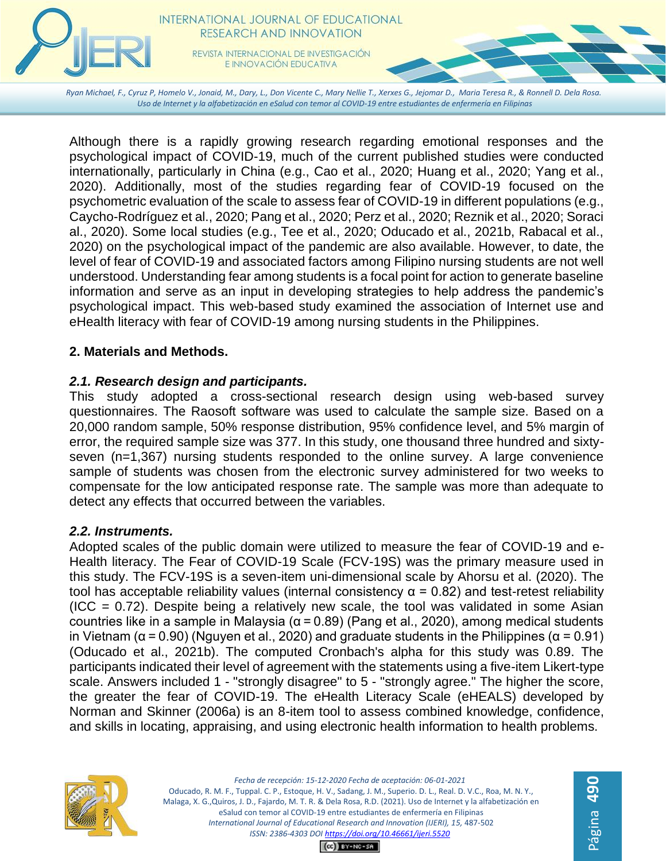

*Ryan Michael, F., Cyruz P, Homelo V., Jonaid, M., Dary, L., Don Vicente C., Mary Nellie T., Xerxes G., Jejomar D., Maria Teresa R., & Ronnell D. Dela Rosa. Uso de Internet y la alfabetización en eSalud con temor al COVID-19 entre estudiantes de enfermería en Filipinas*

Although there is a rapidly growing research regarding emotional responses and the psychological impact of COVID-19, much of the current published studies were conducted internationally, particularly in China (e.g., Cao et al., 2020; Huang et al., 2020; Yang et al., 2020). Additionally, most of the studies regarding fear of COVID-19 focused on the psychometric evaluation of the scale to assess fear of COVID-19 in different populations (e.g., Caycho-Rodríguez et al., 2020; Pang et al., 2020; Perz et al., 2020; Reznik et al., 2020; Soraci al., 2020). Some local studies (e.g., Tee et al., 2020; Oducado et al., 2021b, Rabacal et al., 2020) on the psychological impact of the pandemic are also available. However, to date, the level of fear of COVID-19 and associated factors among Filipino nursing students are not well understood. Understanding fear among students is a focal point for action to generate baseline information and serve as an input in developing strategies to help address the pandemic's psychological impact. This web-based study examined the association of Internet use and eHealth literacy with fear of COVID-19 among nursing students in the Philippines.

#### **2. Materials and Methods.**

### *2.1. Research design and participants.*

This study adopted a cross-sectional research design using web-based survey questionnaires. The Raosoft software was used to calculate the sample size. Based on a 20,000 random sample, 50% response distribution, 95% confidence level, and 5% margin of error, the required sample size was 377. In this study, one thousand three hundred and sixtyseven (n=1,367) nursing students responded to the online survey. A large convenience sample of students was chosen from the electronic survey administered for two weeks to compensate for the low anticipated response rate. The sample was more than adequate to detect any effects that occurred between the variables.

#### *2.2. Instruments.*

Adopted scales of the public domain were utilized to measure the fear of COVID-19 and e-Health literacy. The Fear of COVID-19 Scale (FCV-19S) was the primary measure used in this study. The FCV-19S is a seven-item uni-dimensional scale by Ahorsu et al. (2020). The tool has acceptable reliability values (internal consistency  $α = 0.82$ ) and test-retest reliability  $(ICC = 0.72)$ . Despite being a relatively new scale, the tool was validated in some Asian countries like in a sample in Malaysia (α = 0.89) (Pang et al., 2020), among medical students in Vietnam ( $\alpha$  = 0.90) (Nguyen et al., 2020) and graduate students in the Philippines ( $\alpha$  = 0.91) (Oducado et al., 2021b). The computed Cronbach's alpha for this study was 0.89. The participants indicated their level of agreement with the statements using a five-item Likert-type scale. Answers included 1 - "strongly disagree" to 5 - "strongly agree." The higher the score, the greater the fear of COVID-19. The eHealth Literacy Scale (eHEALS) developed by Norman and Skinner (2006a) is an 8-item tool to assess combined knowledge, confidence, and skills in locating, appraising, and using electronic health information to health problems.



Página **490**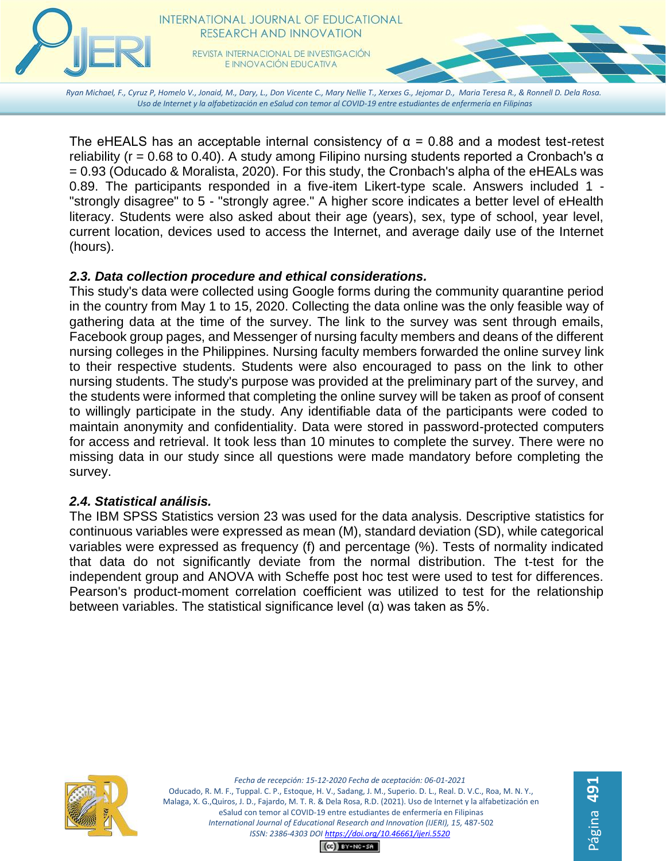

*Ryan Michael, F., Cyruz P, Homelo V., Jonaid, M., Dary, L., Don Vicente C., Mary Nellie T., Xerxes G., Jejomar D., Maria Teresa R., & Ronnell D. Dela Rosa. Uso de Internet y la alfabetización en eSalud con temor al COVID-19 entre estudiantes de enfermería en Filipinas*

The eHEALS has an acceptable internal consistency of  $\alpha$  = 0.88 and a modest test-retest reliability ( $r = 0.68$  to 0.40). A study among Filipino nursing students reported a Cronbach's  $\alpha$ = 0.93 (Oducado & Moralista, 2020). For this study, the Cronbach's alpha of the eHEALs was 0.89. The participants responded in a five-item Likert-type scale. Answers included 1 - "strongly disagree" to 5 - "strongly agree." A higher score indicates a better level of eHealth literacy. Students were also asked about their age (years), sex, type of school, year level, current location, devices used to access the Internet, and average daily use of the Internet (hours).

### *2.3. Data collection procedure and ethical considerations.*

This study's data were collected using Google forms during the community quarantine period in the country from May 1 to 15, 2020. Collecting the data online was the only feasible way of gathering data at the time of the survey. The link to the survey was sent through emails, Facebook group pages, and Messenger of nursing faculty members and deans of the different nursing colleges in the Philippines. Nursing faculty members forwarded the online survey link to their respective students. Students were also encouraged to pass on the link to other nursing students. The study's purpose was provided at the preliminary part of the survey, and the students were informed that completing the online survey will be taken as proof of consent to willingly participate in the study. Any identifiable data of the participants were coded to maintain anonymity and confidentiality. Data were stored in password-protected computers for access and retrieval. It took less than 10 minutes to complete the survey. There were no missing data in our study since all questions were made mandatory before completing the survey.

### *2.4. Statistical análisis.*

The IBM SPSS Statistics version 23 was used for the data analysis. Descriptive statistics for continuous variables were expressed as mean (M), standard deviation (SD), while categorical variables were expressed as frequency (f) and percentage (%). Tests of normality indicated that data do not significantly deviate from the normal distribution. The t-test for the independent group and ANOVA with Scheffe post hoc test were used to test for differences. Pearson's product-moment correlation coefficient was utilized to test for the relationship between variables. The statistical significance level  $(\alpha)$  was taken as 5%.



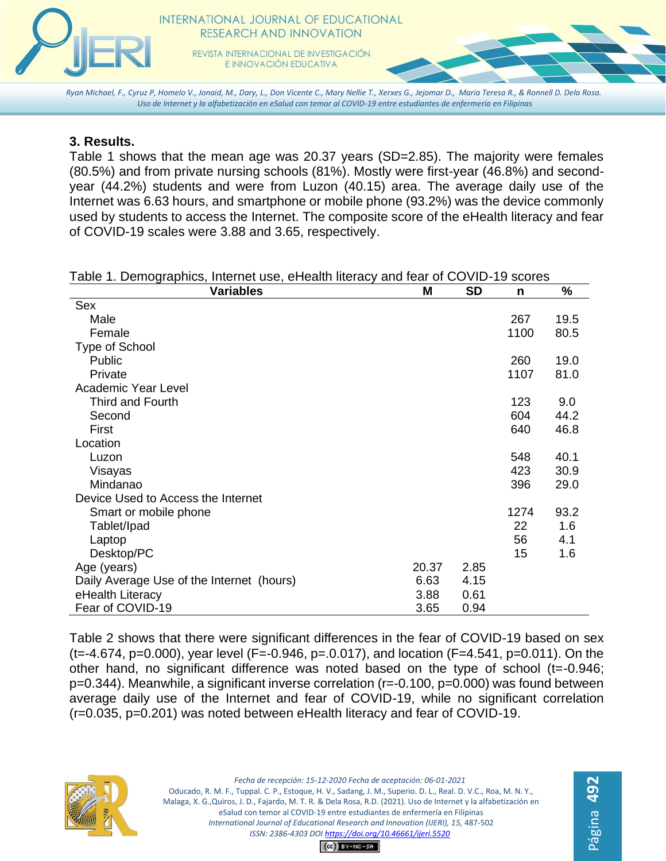

*Ryan Michael, F., Cyruz P, Homelo V., Jonaid, M., Dary, L., Don Vicente C., Mary Nellie T., Xerxes G., Jejomar D., Maria Teresa R., & Ronnell D. Dela Rosa. Uso de Internet y la alfabetización en eSalud con temor al COVID-19 entre estudiantes de enfermería en Filipinas*

### **3. Results.**

Table 1 shows that the mean age was 20.37 years (SD=2.85). The majority were females (80.5%) and from private nursing schools (81%). Mostly were first-year (46.8%) and secondyear (44.2%) students and were from Luzon (40.15) area. The average daily use of the Internet was 6.63 hours, and smartphone or mobile phone (93.2%) was the device commonly used by students to access the Internet. The composite score of the eHealth literacy and fear of COVID-19 scales were 3.88 and 3.65, respectively.

| Table 1. Demographics, Internet use, eHealth literacy and fear of COVID-19 scores |  |
|-----------------------------------------------------------------------------------|--|
|-----------------------------------------------------------------------------------|--|

| <b>Variables</b>                          | M     | <b>SD</b> | n    | %    |
|-------------------------------------------|-------|-----------|------|------|
| Sex                                       |       |           |      |      |
| Male                                      |       |           | 267  | 19.5 |
| Female                                    |       |           | 1100 | 80.5 |
| Type of School                            |       |           |      |      |
| Public                                    |       |           | 260  | 19.0 |
| Private                                   |       |           | 1107 | 81.0 |
| <b>Academic Year Level</b>                |       |           |      |      |
| Third and Fourth                          |       |           | 123  | 9.0  |
| Second                                    |       |           | 604  | 44.2 |
| First                                     |       |           | 640  | 46.8 |
| Location                                  |       |           |      |      |
| Luzon                                     |       |           | 548  | 40.1 |
| Visayas                                   |       |           | 423  | 30.9 |
| Mindanao                                  |       |           | 396  | 29.0 |
| Device Used to Access the Internet        |       |           |      |      |
| Smart or mobile phone                     |       |           | 1274 | 93.2 |
| Tablet/Ipad                               |       |           | 22   | 1.6  |
| Laptop                                    |       |           | 56   | 4.1  |
| Desktop/PC                                |       |           | 15   | 1.6  |
| Age (years)                               | 20.37 | 2.85      |      |      |
| Daily Average Use of the Internet (hours) | 6.63  | 4.15      |      |      |
| eHealth Literacy                          | 3.88  | 0.61      |      |      |
| Fear of COVID-19                          | 3.65  | 0.94      |      |      |

Table 2 shows that there were significant differences in the fear of COVID-19 based on sex  $(t=4.674, p=0.000)$ , year level (F=-0.946, p=.0.017), and location (F=4.541, p=0.011). On the other hand, no significant difference was noted based on the type of school (t=-0.946; p=0.344). Meanwhile, a significant inverse correlation (r=-0.100, p=0.000) was found between average daily use of the Internet and fear of COVID-19, while no significant correlation (r=0.035, p=0.201) was noted between eHealth literacy and fear of COVID-19.



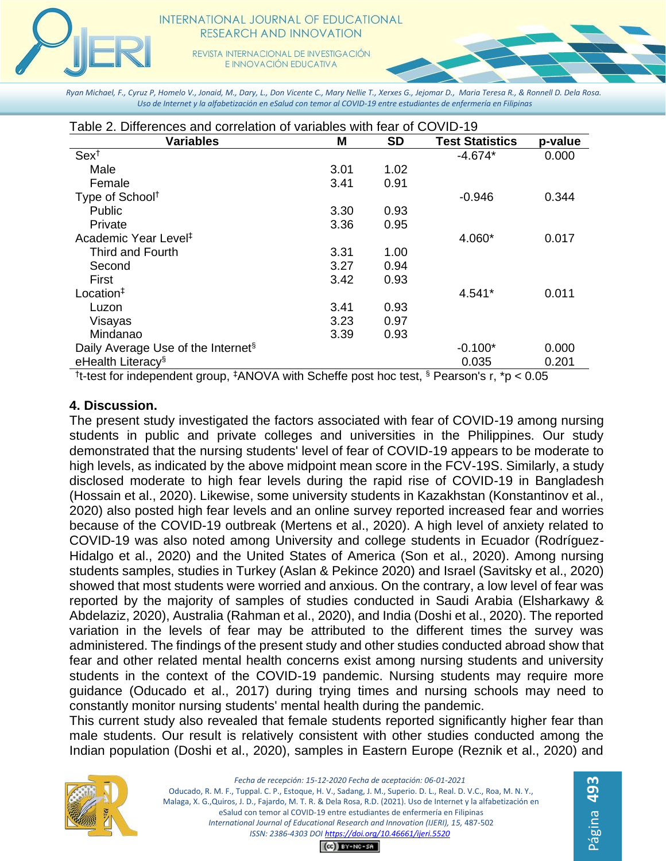

*Ryan Michael, F., Cyruz P, Homelo V., Jonaid, M., Dary, L., Don Vicente C., Mary Nellie T., Xerxes G., Jejomar D., Maria Teresa R., & Ronnell D. Dela Rosa. Uso de Internet y la alfabetización en eSalud con temor al COVID-19 entre estudiantes de enfermería en Filipinas*

| <b>Variables</b>                               | M    | <b>SD</b> | <b>Test Statistics</b> | p-value |
|------------------------------------------------|------|-----------|------------------------|---------|
| Sex <sup>†</sup>                               |      |           | $-4.674*$              | 0.000   |
| Male                                           | 3.01 | 1.02      |                        |         |
| Female                                         | 3.41 | 0.91      |                        |         |
| Type of School <sup>+</sup>                    |      |           | $-0.946$               | 0.344   |
| <b>Public</b>                                  | 3.30 | 0.93      |                        |         |
| Private                                        | 3.36 | 0.95      |                        |         |
| Academic Year Level <sup>‡</sup>               |      |           | 4.060*                 | 0.017   |
| Third and Fourth                               | 3.31 | 1.00      |                        |         |
| Second                                         | 3.27 | 0.94      |                        |         |
| First                                          | 3.42 | 0.93      |                        |         |
| Location <sup>#</sup>                          |      |           | 4.541*                 | 0.011   |
| Luzon                                          | 3.41 | 0.93      |                        |         |
| Visayas                                        | 3.23 | 0.97      |                        |         |
| Mindanao                                       | 3.39 | 0.93      |                        |         |
| Daily Average Use of the Internet <sup>§</sup> |      |           | $-0.100*$              | 0.000   |
| eHealth Literacy <sup>§</sup>                  |      |           | 0.035                  | 0.201   |

<sup>†</sup>t-test for independent group, <sup>‡</sup>ANOVA with Scheffe post hoc test, § Pearson's r, \*p < 0.05

## **4. Discussion.**

The present study investigated the factors associated with fear of COVID-19 among nursing students in public and private colleges and universities in the Philippines. Our study demonstrated that the nursing students' level of fear of COVID-19 appears to be moderate to high levels, as indicated by the above midpoint mean score in the FCV-19S. Similarly, a study disclosed moderate to high fear levels during the rapid rise of COVID-19 in Bangladesh (Hossain et al., 2020). Likewise, some university students in Kazakhstan (Konstantinov et al., 2020) also posted high fear levels and an online survey reported increased fear and worries because of the COVID-19 outbreak (Mertens et al., 2020). A high level of anxiety related to COVID-19 was also noted among University and college students in Ecuador (Rodríguez-Hidalgo et al., 2020) and the United States of America (Son et al., 2020). Among nursing students samples, studies in Turkey (Aslan & Pekince 2020) and Israel (Savitsky et al., 2020) showed that most students were worried and anxious. On the contrary, a low level of fear was reported by the majority of samples of studies conducted in Saudi Arabia (Elsharkawy & Abdelaziz, 2020), Australia (Rahman et al., 2020), and India (Doshi et al., 2020). The reported variation in the levels of fear may be attributed to the different times the survey was administered. The findings of the present study and other studies conducted abroad show that fear and other related mental health concerns exist among nursing students and university students in the context of the COVID-19 pandemic. Nursing students may require more guidance (Oducado et al., 2017) during trying times and nursing schools may need to constantly monitor nursing students' mental health during the pandemic.

This current study also revealed that female students reported significantly higher fear than male students. Our result is relatively consistent with other studies conducted among the Indian population (Doshi et al., 2020), samples in Eastern Europe (Reznik et al., 2020) and



*Fecha de recepción: 15-12-2020 Fecha de aceptación: 06-01-2021* Oducado, R. M. F., Tuppal. C. P., Estoque, H. V., Sadang, J. M., Superio. D. L., Real. D. V.C., Roa, M. N. Y., Malaga, X. G.,Quiros, J. D., Fajardo, M. T. R. & Dela Rosa, R.D. (2021). Uso de Internet y la alfabetización en eSalud con temor al COVID-19 entre estudiantes de enfermería en Filipinas *International Journal of Educational Research and Innovation (IJERI), 15,* 487-502 *ISSN: 2386-4303 DO[I https://doi.org/10.46661/ijeri.5520](https://doi.org/10.46661/ijeri.5520)*

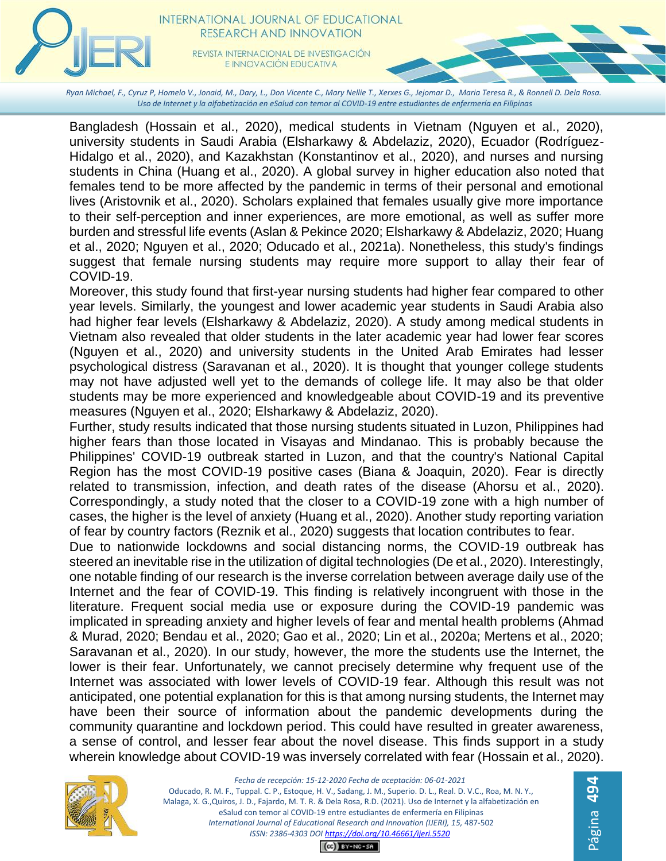

# INTERNATIONAL JOURNAL OF EDUCATIONAL RESEARCH AND INNOVATION

REVISTA INTERNACIONAL DE INVESTIGACIÓN E INNOVACIÓN EDUCATIVA

*Ryan Michael, F., Cyruz P, Homelo V., Jonaid, M., Dary, L., Don Vicente C., Mary Nellie T., Xerxes G., Jejomar D., Maria Teresa R., & Ronnell D. Dela Rosa. Uso de Internet y la alfabetización en eSalud con temor al COVID-19 entre estudiantes de enfermería en Filipinas*

Bangladesh (Hossain et al., 2020), medical students in Vietnam (Nguyen et al., 2020), university students in Saudi Arabia (Elsharkawy & Abdelaziz, 2020), Ecuador (Rodríguez-Hidalgo et al., 2020), and Kazakhstan (Konstantinov et al., 2020), and nurses and nursing students in China (Huang et al., 2020). A global survey in higher education also noted that females tend to be more affected by the pandemic in terms of their personal and emotional lives (Aristovnik et al., 2020). Scholars explained that females usually give more importance to their self-perception and inner experiences, are more emotional, as well as suffer more burden and stressful life events (Aslan & Pekince 2020; Elsharkawy & Abdelaziz, 2020; Huang et al., 2020; Nguyen et al., 2020; Oducado et al., 2021a). Nonetheless, this study's findings suggest that female nursing students may require more support to allay their fear of COVID-19.

Moreover, this study found that first-year nursing students had higher fear compared to other year levels. Similarly, the youngest and lower academic year students in Saudi Arabia also had higher fear levels (Elsharkawy & Abdelaziz, 2020). A study among medical students in Vietnam also revealed that older students in the later academic year had lower fear scores (Nguyen et al., 2020) and university students in the United Arab Emirates had lesser psychological distress (Saravanan et al., 2020). It is thought that younger college students may not have adjusted well yet to the demands of college life. It may also be that older students may be more experienced and knowledgeable about COVID-19 and its preventive measures (Nguyen et al., 2020; Elsharkawy & Abdelaziz, 2020).

Further, study results indicated that those nursing students situated in Luzon, Philippines had higher fears than those located in Visayas and Mindanao. This is probably because the Philippines' COVID-19 outbreak started in Luzon, and that the country's National Capital Region has the most COVID-19 positive cases (Biana & Joaquin, 2020). Fear is directly related to transmission, infection, and death rates of the disease (Ahorsu et al., 2020). Correspondingly, a study noted that the closer to a COVID-19 zone with a high number of cases, the higher is the level of anxiety (Huang et al., 2020). Another study reporting variation of fear by country factors (Reznik et al., 2020) suggests that location contributes to fear.

Due to nationwide lockdowns and social distancing norms, the COVID-19 outbreak has steered an inevitable rise in the utilization of digital technologies (De et al., 2020). Interestingly, one notable finding of our research is the inverse correlation between average daily use of the Internet and the fear of COVID-19. This finding is relatively incongruent with those in the literature. Frequent social media use or exposure during the COVID-19 pandemic was implicated in spreading anxiety and higher levels of fear and mental health problems (Ahmad & Murad, 2020; Bendau et al., 2020; Gao et al., 2020; Lin et al., 2020a; Mertens et al., 2020; Saravanan et al., 2020). In our study, however, the more the students use the Internet, the lower is their fear. Unfortunately, we cannot precisely determine why frequent use of the Internet was associated with lower levels of COVID-19 fear. Although this result was not anticipated, one potential explanation for this is that among nursing students, the Internet may have been their source of information about the pandemic developments during the community quarantine and lockdown period. This could have resulted in greater awareness, a sense of control, and lesser fear about the novel disease. This finds support in a study wherein knowledge about COVID-19 was inversely correlated with fear (Hossain et al., 2020).

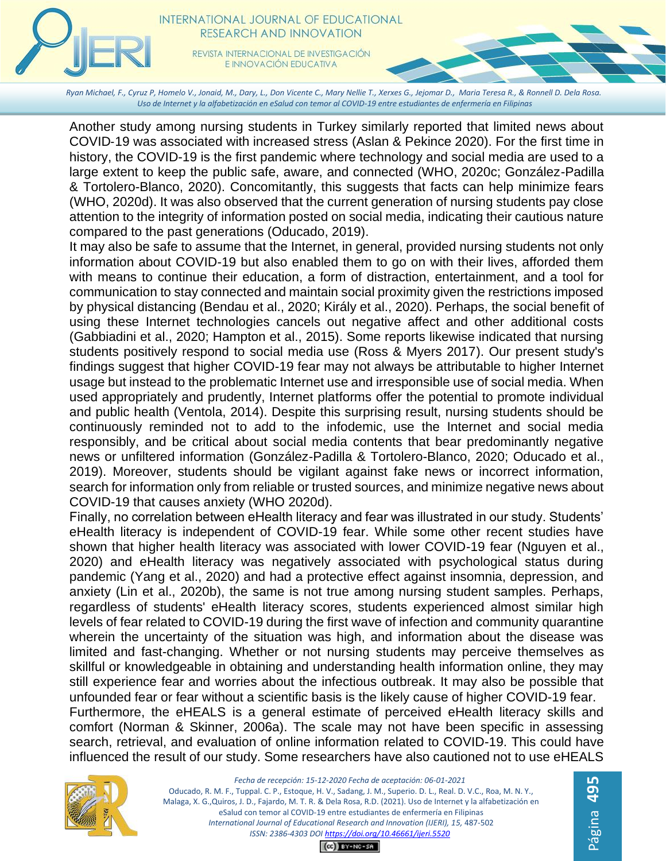

*Ryan Michael, F., Cyruz P, Homelo V., Jonaid, M., Dary, L., Don Vicente C., Mary Nellie T., Xerxes G., Jejomar D., Maria Teresa R., & Ronnell D. Dela Rosa. Uso de Internet y la alfabetización en eSalud con temor al COVID-19 entre estudiantes de enfermería en Filipinas*

Another study among nursing students in Turkey similarly reported that limited news about COVID‐19 was associated with increased stress (Aslan & Pekince 2020). For the first time in history, the COVID-19 is the first pandemic where technology and social media are used to a large extent to keep the public safe, aware, and connected (WHO, 2020c; González-Padilla & Tortolero-Blanco, 2020). Concomitantly, this suggests that facts can help minimize fears (WHO, 2020d). It was also observed that the current generation of nursing students pay close attention to the integrity of information posted on social media, indicating their cautious nature compared to the past generations (Oducado, 2019).

It may also be safe to assume that the Internet, in general, provided nursing students not only information about COVID-19 but also enabled them to go on with their lives, afforded them with means to continue their education, a form of distraction, entertainment, and a tool for communication to stay connected and maintain social proximity given the restrictions imposed by physical distancing (Bendau et al., 2020; Király et al., 2020). Perhaps, the social benefit of using these Internet technologies cancels out negative affect and other additional costs (Gabbiadini et al., 2020; Hampton et al., 2015). Some reports likewise indicated that nursing students positively respond to social media use (Ross & Myers 2017). Our present study's findings suggest that higher COVID-19 fear may not always be attributable to higher Internet usage but instead to the problematic Internet use and irresponsible use of social media. When used appropriately and prudently, Internet platforms offer the potential to promote individual and public health (Ventola, 2014). Despite this surprising result, nursing students should be continuously reminded not to add to the infodemic, use the Internet and social media responsibly, and be critical about social media contents that bear predominantly negative news or unfiltered information (González-Padilla & Tortolero-Blanco, 2020; Oducado et al., 2019). Moreover, students should be vigilant against fake news or incorrect information, search for information only from reliable or trusted sources, and minimize negative news about COVID-19 that causes anxiety (WHO 2020d).

Finally, no correlation between eHealth literacy and fear was illustrated in our study. Students' eHealth literacy is independent of COVID-19 fear. While some other recent studies have shown that higher health literacy was associated with lower COVID-19 fear (Nguyen et al., 2020) and eHealth literacy was negatively associated with psychological status during pandemic (Yang et al., 2020) and had a protective effect against insomnia, depression, and anxiety (Lin et al., 2020b), the same is not true among nursing student samples. Perhaps, regardless of students' eHealth literacy scores, students experienced almost similar high levels of fear related to COVID-19 during the first wave of infection and community quarantine wherein the uncertainty of the situation was high, and information about the disease was limited and fast-changing. Whether or not nursing students may perceive themselves as skillful or knowledgeable in obtaining and understanding health information online, they may still experience fear and worries about the infectious outbreak. It may also be possible that unfounded fear or fear without a scientific basis is the likely cause of higher COVID-19 fear. Furthermore, the eHEALS is a general estimate of perceived eHealth literacy skills and

comfort (Norman & Skinner, 2006a). The scale may not have been specific in assessing search, retrieval, and evaluation of online information related to COVID-19. This could have influenced the result of our study. Some researchers have also cautioned not to use eHEALS

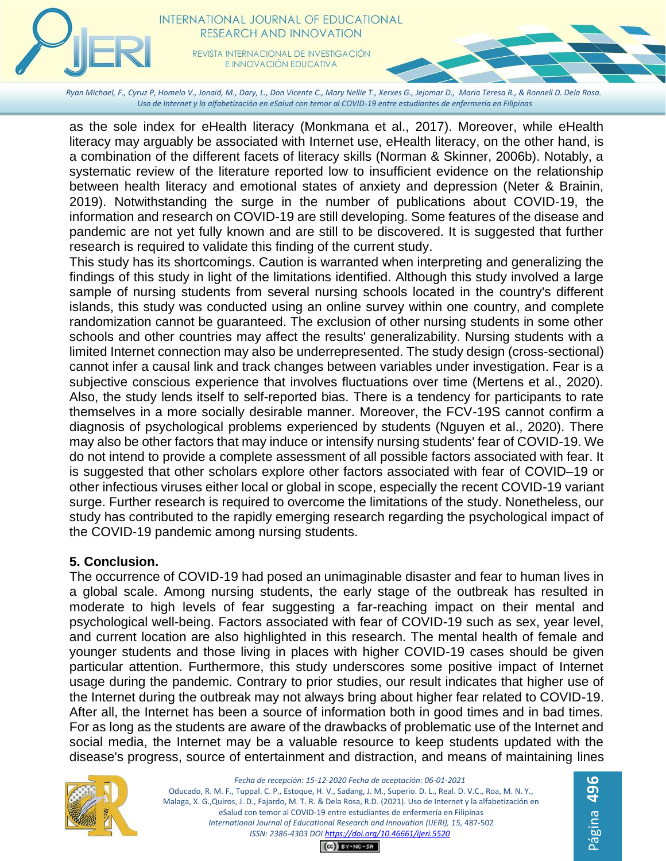

### INTERNATIONAL JOURNAL OF EDUCATIONAL RESEARCH AND INNOVATION

REVISTA INTERNACIONAL DE INVESTIGACIÓN E INNOVACIÓN EDUCATIVA

*Ryan Michael, F., Cyruz P, Homelo V., Jonaid, M., Dary, L., Don Vicente C., Mary Nellie T., Xerxes G., Jejomar D., Maria Teresa R., & Ronnell D. Dela Rosa. Uso de Internet y la alfabetización en eSalud con temor al COVID-19 entre estudiantes de enfermería en Filipinas*

as the sole index for eHealth literacy (Monkmana et al., 2017). Moreover, while eHealth literacy may arguably be associated with Internet use, eHealth literacy, on the other hand, is a combination of the different facets of literacy skills (Norman & Skinner, 2006b). Notably, a systematic review of the literature reported low to insufficient evidence on the relationship between health literacy and emotional states of anxiety and depression (Neter & Brainin, 2019). Notwithstanding the surge in the number of publications about COVID‐19, the information and research on COVID-19 are still developing. Some features of the disease and pandemic are not yet fully known and are still to be discovered. It is suggested that further research is required to validate this finding of the current study.

This study has its shortcomings. Caution is warranted when interpreting and generalizing the findings of this study in light of the limitations identified. Although this study involved a large sample of nursing students from several nursing schools located in the country's different islands, this study was conducted using an online survey within one country, and complete randomization cannot be guaranteed. The exclusion of other nursing students in some other schools and other countries may affect the results' generalizability. Nursing students with a limited Internet connection may also be underrepresented. The study design (cross-sectional) cannot infer a causal link and track changes between variables under investigation. Fear is a subjective conscious experience that involves fluctuations over time (Mertens et al., 2020). Also, the study lends itself to self-reported bias. There is a tendency for participants to rate themselves in a more socially desirable manner. Moreover, the FCV-19S cannot confirm a diagnosis of psychological problems experienced by students (Nguyen et al., 2020). There may also be other factors that may induce or intensify nursing students' fear of COVID-19. We do not intend to provide a complete assessment of all possible factors associated with fear. It is suggested that other scholars explore other factors associated with fear of COVID–19 or other infectious viruses either local or global in scope, especially the recent COVID-19 variant surge. Further research is required to overcome the limitations of the study. Nonetheless, our study has contributed to the rapidly emerging research regarding the psychological impact of the COVID-19 pandemic among nursing students.

## **5. Conclusion.**

The occurrence of COVID-19 had posed an unimaginable disaster and fear to human lives in a global scale. Among nursing students, the early stage of the outbreak has resulted in moderate to high levels of fear suggesting a far-reaching impact on their mental and psychological well-being. Factors associated with fear of COVID-19 such as sex, year level, and current location are also highlighted in this research. The mental health of female and younger students and those living in places with higher COVID-19 cases should be given particular attention. Furthermore, this study underscores some positive impact of Internet usage during the pandemic. Contrary to prior studies, our result indicates that higher use of the Internet during the outbreak may not always bring about higher fear related to COVID-19. After all, the Internet has been a source of information both in good times and in bad times. For as long as the students are aware of the drawbacks of problematic use of the Internet and social media, the Internet may be a valuable resource to keep students updated with the disease's progress, source of entertainment and distraction, and means of maintaining lines



*Fecha de recepción: 15-12-2020 Fecha de aceptación: 06-01-2021* Oducado, R. M. F., Tuppal. C. P., Estoque, H. V., Sadang, J. M., Superio. D. L., Real. D. V.C., Roa, M. N. Y., Malaga, X. G.,Quiros, J. D., Fajardo, M. T. R. & Dela Rosa, R.D. (2021). Uso de Internet y la alfabetización en eSalud con temor al COVID-19 entre estudiantes de enfermería en Filipinas *International Journal of Educational Research and Innovation (IJERI), 15,* 487-502 *ISSN: 2386-4303 DO[I https://doi.org/10.46661/ijeri.5520](https://doi.org/10.46661/ijeri.5520)*

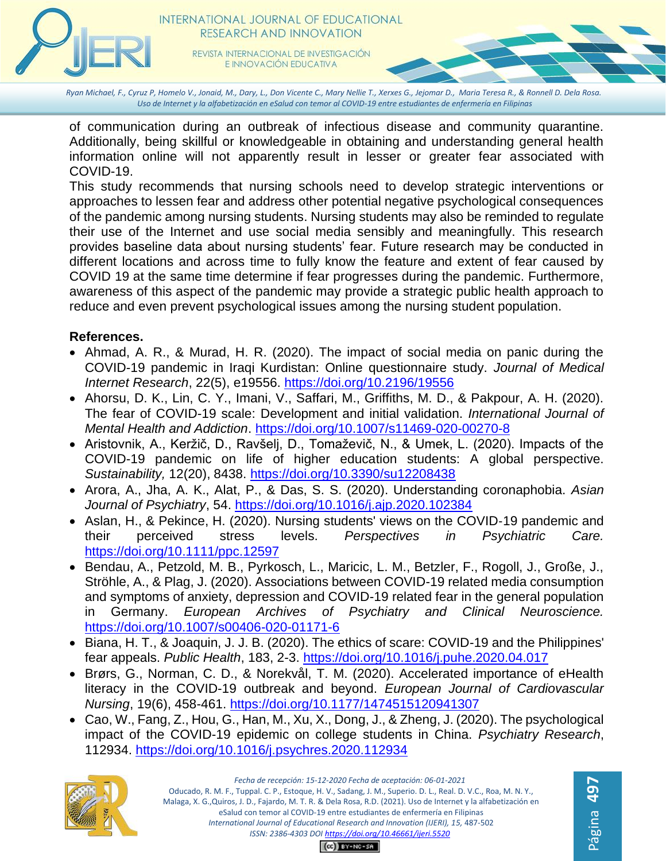

*Ryan Michael, F., Cyruz P, Homelo V., Jonaid, M., Dary, L., Don Vicente C., Mary Nellie T., Xerxes G., Jejomar D., Maria Teresa R., & Ronnell D. Dela Rosa. Uso de Internet y la alfabetización en eSalud con temor al COVID-19 entre estudiantes de enfermería en Filipinas*

of communication during an outbreak of infectious disease and community quarantine. Additionally, being skillful or knowledgeable in obtaining and understanding general health information online will not apparently result in lesser or greater fear associated with COVID-19.

This study recommends that nursing schools need to develop strategic interventions or approaches to lessen fear and address other potential negative psychological consequences of the pandemic among nursing students. Nursing students may also be reminded to regulate their use of the Internet and use social media sensibly and meaningfully. This research provides baseline data about nursing students' fear. Future research may be conducted in different locations and across time to fully know the feature and extent of fear caused by COVID 19 at the same time determine if fear progresses during the pandemic. Furthermore, awareness of this aspect of the pandemic may provide a strategic public health approach to reduce and even prevent psychological issues among the nursing student population.

## **References.**

- Ahmad, A. R., & Murad, H. R. (2020). The impact of social media on panic during the COVID-19 pandemic in Iraqi Kurdistan: Online questionnaire study. *Journal of Medical Internet Research*, 22(5), e19556. [https://doi.org/10.2196/19556](about:blank)
- Ahorsu, D. K., Lin, C. Y., Imani, V., Saffari, M., Griffiths, M. D., & Pakpour, A. H. (2020). The fear of COVID-19 scale: Development and initial validation. *International Journal of Mental Health and Addiction*. [https://doi.org/10.1007/s11469-020-00270-8](about:blank)
- Aristovnik, A., Keržič, D., Ravšelj, D., Tomaževič, N., & Umek, L. (2020). Impacts of the COVID-19 pandemic on life of higher education students: A global perspective. *Sustainability,* 12(20), 8438. [https://doi.org/10.3390/su12208438](about:blank)
- Arora, A., Jha, A. K., Alat, P., & Das, S. S. (2020). Understanding coronaphobia. *Asian Journal of Psychiatry*, 54. [https://doi.org/10.1016/j.ajp.2020.102384](about:blank)
- Aslan, H., & Pekince, H. (2020). Nursing students' views on the COVID‐19 pandemic and their perceived stress levels. *Perspectives in Psychiatric Care.* [https://doi.org/10.1111/ppc.12597](about:blank)
- Bendau, A., Petzold, M. B., Pyrkosch, L., Maricic, L. M., Betzler, F., Rogoll, J., Große, J., Ströhle, A., & Plag, J. (2020). Associations between COVID-19 related media consumption and symptoms of anxiety, depression and COVID-19 related fear in the general population in Germany. *European Archives of Psychiatry and Clinical Neuroscience.* [https://doi.org/10.1007/s00406-020-01171-6](about:blank)
- Biana, H. T., & Joaquin, J. J. B. (2020). The ethics of scare: COVID-19 and the Philippines' fear appeals. *Public Health*, 183, 2-3. [https://doi.org/10.1016/j.puhe.2020.04.017](about:blank)
- Brørs, G., Norman, C. D., & Norekvål, T. M. (2020). Accelerated importance of eHealth literacy in the COVID-19 outbreak and beyond. *European Journal of Cardiovascular Nursing*, 19(6), 458-461. [https://doi.org/10.1177/1474515120941307](about:blank)
- Cao, W., Fang, Z., Hou, G., Han, M., Xu, X., Dong, J., & Zheng, J. (2020). The psychological impact of the COVID-19 epidemic on college students in China. *Psychiatry Research*, 112934. [https://doi.org/10.1016/j.psychres.2020.112934](about:blank)

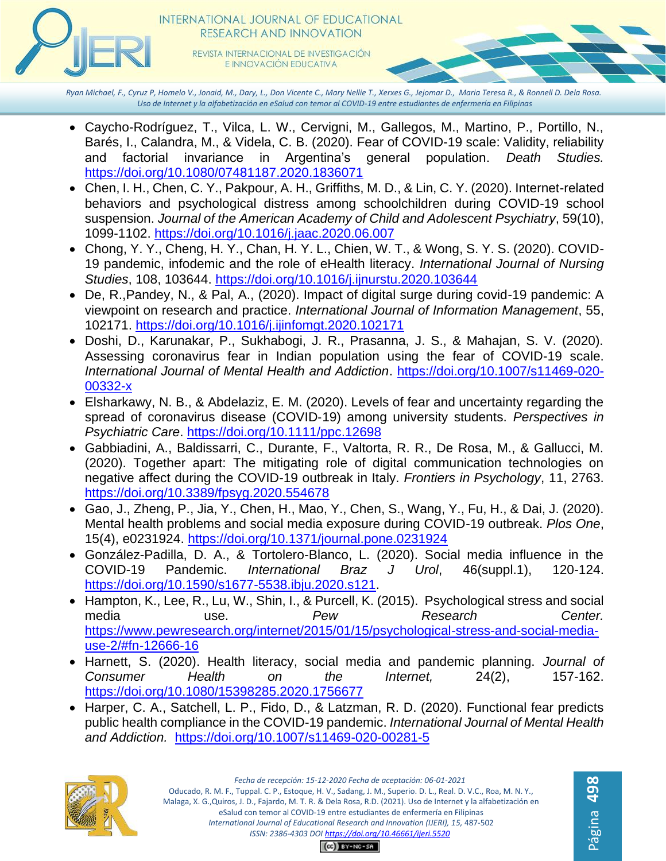

*Ryan Michael, F., Cyruz P, Homelo V., Jonaid, M., Dary, L., Don Vicente C., Mary Nellie T., Xerxes G., Jejomar D., Maria Teresa R., & Ronnell D. Dela Rosa. Uso de Internet y la alfabetización en eSalud con temor al COVID-19 entre estudiantes de enfermería en Filipinas*

- Caycho-Rodríguez, T., Vilca, L. W., Cervigni, M., Gallegos, M., Martino, P., Portillo, N., Barés, I., Calandra, M., & Videla, C. B. (2020). Fear of COVID-19 scale: Validity, reliability and factorial invariance in Argentina's general population. *Death Studies.*  [https://doi.org/10.1080/07481187.2020.1836071](about:blank)
- Chen, I. H., Chen, C. Y., Pakpour, A. H., Griffiths, M. D., & Lin, C. Y. (2020). Internet-related behaviors and psychological distress among schoolchildren during COVID-19 school suspension. *Journal of the American Academy of Child and Adolescent Psychiatry*, 59(10), 1099-1102. [https://doi.org/10.1016/j.jaac.2020.06.007](about:blank)
- Chong, Y. Y., Cheng, H. Y., Chan, H. Y. L., Chien, W. T., & Wong, S. Y. S. (2020). COVID-19 pandemic, infodemic and the role of eHealth literacy. *International Journal of Nursing Studies*, 108, 103644. [https://doi.org/10.1016/j.ijnurstu.2020.103644](about:blank)
- De, R.,Pandey, N., & Pal, A., (2020). Impact of digital surge during covid-19 pandemic: A viewpoint on research and practice. *International Journal of Information Management*, 55, 102171. [https://doi.org/10.1016/j.ijinfomgt.2020.102171](about:blank)
- Doshi, D., Karunakar, P., Sukhabogi, J. R., Prasanna, J. S., & Mahajan, S. V. (2020). Assessing coronavirus fear in Indian population using the fear of COVID-19 scale. *International Journal of Mental Health and Addiction*. [https://doi.org/10.1007/s11469-020-](about:blank) [00332-x](about:blank)
- Elsharkawy, N. B., & Abdelaziz, E. M. (2020). Levels of fear and uncertainty regarding the spread of coronavirus disease (COVID‐19) among university students. *Perspectives in Psychiatric Care*. [https://doi.org/10.1111/ppc.12698](about:blank)
- Gabbiadini, A., Baldissarri, C., Durante, F., Valtorta, R. R., De Rosa, M., & Gallucci, M. (2020). Together apart: The mitigating role of digital communication technologies on negative affect during the COVID-19 outbreak in Italy. *Frontiers in Psychology*, 11, 2763. [https://doi.org/10.3389/fpsyg.2020.554678](about:blank)
- Gao, J., Zheng, P., Jia, Y., Chen, H., Mao, Y., Chen, S., Wang, Y., Fu, H., & Dai, J. (2020). Mental health problems and social media exposure during COVID-19 outbreak. *Plos One*, 15(4), e0231924. [https://doi.org/10.1371/journal.pone.0231924](about:blank)
- González-Padilla, D. A., & Tortolero-Blanco, L. (2020). Social media influence in the COVID-19 Pandemic. *International Braz J Urol*, 46(suppl.1), 120-124. [https://doi.org/10.1590/s1677-5538.ibju.2020.s121.](about:blank)
- Hampton, K., Lee, R., Lu, W., Shin, I., & Purcell, K. (2015). Psychological stress and social media use. *Pew Research Center.*  [https://www.pewresearch.org/internet/2015/01/15/psychological-stress-and-social-media](about:blank#fn-12666-16)[use-2/#fn-12666-16](about:blank#fn-12666-16)
- Harnett, S. (2020). Health literacy, social media and pandemic planning. *Journal of Consumer Health on the Internet,* 24(2), 157-162. [https://doi.org/10.1080/15398285.2020.1756677](about:blank)
- Harper, C. A., Satchell, L. P., Fido, D., & Latzman, R. D. (2020). Functional fear predicts public health compliance in the COVID-19 pandemic. *International Journal of Mental Health and Addiction.* [https://doi.org/10.1007/s11469-020-00281-5](about:blank)



 $(G)$  BY-NC-SA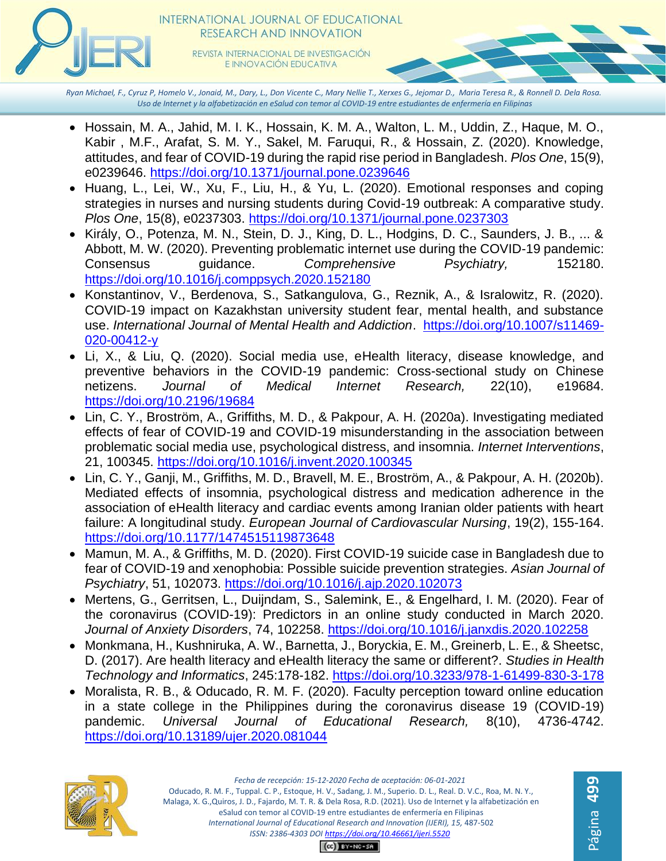

E INNOVACIÓN EDUCATIVA

*Ryan Michael, F., Cyruz P, Homelo V., Jonaid, M., Dary, L., Don Vicente C., Mary Nellie T., Xerxes G., Jejomar D., Maria Teresa R., & Ronnell D. Dela Rosa. Uso de Internet y la alfabetización en eSalud con temor al COVID-19 entre estudiantes de enfermería en Filipinas*

- Hossain, M. A., Jahid, M. I. K., Hossain, K. M. A., Walton, L. M., Uddin, Z., Haque, M. O., Kabir , M.F., Arafat, S. M. Y., Sakel, M. Faruqui, R., & Hossain, Z. (2020). Knowledge, attitudes, and fear of COVID-19 during the rapid rise period in Bangladesh. *Plos One*, 15(9), e0239646. [https://doi.org/10.1371/journal.pone.0239646](about:blank)
- Huang, L., Lei, W., Xu, F., Liu, H., & Yu, L. (2020). Emotional responses and coping strategies in nurses and nursing students during Covid-19 outbreak: A comparative study. *Plos One*, 15(8), e0237303. [https://doi.org/10.1371/journal.pone.0237303](about:blank)
- Király, O., Potenza, M. N., Stein, D. J., King, D. L., Hodgins, D. C., Saunders, J. B., ... & Abbott, M. W. (2020). Preventing problematic internet use during the COVID-19 pandemic: Consensus guidance. *Comprehensive Psychiatry,* 152180. [https://doi.org/10.1016/j.comppsych.2020.152180](about:blank)
- Konstantinov, V., Berdenova, S., Satkangulova, G., Reznik, A., & Isralowitz, R. (2020). COVID-19 impact on Kazakhstan university student fear, mental health, and substance use. *International Journal of Mental Health and Addiction*. [https://doi.org/10.1007/s11469-](about:blank) [020-00412-y](about:blank)
- Li, X., & Liu, Q. (2020). Social media use, eHealth literacy, disease knowledge, and preventive behaviors in the COVID-19 pandemic: Cross-sectional study on Chinese netizens. *Journal of Medical Internet Research,* 22(10), e19684. [https://doi.org/10.2196/19684](about:blank)
- Lin, C. Y., Broström, A., Griffiths, M. D., & Pakpour, A. H. (2020a). Investigating mediated effects of fear of COVID-19 and COVID-19 misunderstanding in the association between problematic social media use, psychological distress, and insomnia. *Internet Interventions*, 21, 100345. [https://doi.org/10.1016/j.invent.2020.100345](about:blank)
- Lin, C. Y., Ganji, M., Griffiths, M. D., Bravell, M. E., Broström, A., & Pakpour, A. H. (2020b). Mediated effects of insomnia, psychological distress and medication adherence in the association of eHealth literacy and cardiac events among Iranian older patients with heart failure: A longitudinal study. *European Journal of Cardiovascular Nursing*, 19(2), 155-164. [https://doi.org/10.1177/1474515119873648](about:blank)
- Mamun, M. A., & Griffiths, M. D. (2020). First COVID-19 suicide case in Bangladesh due to fear of COVID-19 and xenophobia: Possible suicide prevention strategies. *Asian Journal of Psychiatry*, 51, 102073. [https://doi.org/10.1016/j.ajp.2020.102073](about:blank)
- Mertens, G., Gerritsen, L., Duijndam, S., Salemink, E., & Engelhard, I. M. (2020). Fear of the coronavirus (COVID-19): Predictors in an online study conducted in March 2020. *Journal of Anxiety Disorders*, 74, 102258. [https://doi.org/10.1016/j.janxdis.2020.102258](about:blank)
- Monkmana, H., Kushniruka, A. W., Barnetta, J., Boryckia, E. M., Greinerb, L. E., & Sheetsc, D. (2017). Are health literacy and eHealth literacy the same or different?. *Studies in Health Technology and Informatics*, 245:178-182. [https://doi.org/10.3233/978-1-61499-830-3-178](about:blank)
- Moralista, R. B., & Oducado, R. M. F. (2020). Faculty perception toward online education in a state college in the Philippines during the coronavirus disease 19 (COVID-19) pandemic. *Universal Journal of Educational Research,* 8(10), 4736-4742. [https://doi.org/10.13189/ujer.2020.081044](about:blank)

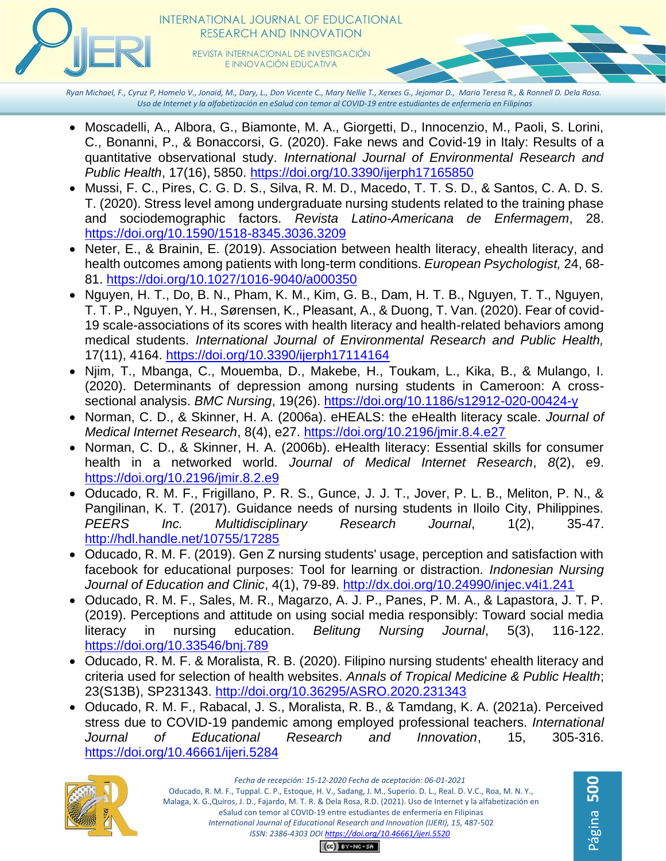

E INNOVACIÓN EDUCATIVA

*Ryan Michael, F., Cyruz P, Homelo V., Jonaid, M., Dary, L., Don Vicente C., Mary Nellie T., Xerxes G., Jejomar D., Maria Teresa R., & Ronnell D. Dela Rosa. Uso de Internet y la alfabetización en eSalud con temor al COVID-19 entre estudiantes de enfermería en Filipinas*

- Moscadelli, A., Albora, G., Biamonte, M. A., Giorgetti, D., Innocenzio, M., Paoli, S. Lorini, C., Bonanni, P., & Bonaccorsi, G. (2020). Fake news and Covid-19 in Italy: Results of a quantitative observational study. *International Journal of Environmental Research and Public Health*, 17(16), 5850. [https://doi.org/10.3390/ijerph17165850](about:blank)
- Mussi, F. C., Pires, C. G. D. S., Silva, R. M. D., Macedo, T. T. S. D., & Santos, C. A. D. S. T. (2020). Stress level among undergraduate nursing students related to the training phase and sociodemographic factors. *Revista Latino-Americana de Enfermagem*, 28. [https://doi.org/10.1590/1518-8345.3036.3209](about:blank)
- Neter, E., & Brainin, E. (2019). Association between health literacy, ehealth literacy, and health outcomes among patients with long-term conditions. *European Psychologist,* 24, 68- 81. [https://doi.org/10.1027/1016-9040/a000350](about:blank)
- Nguyen, H. T., Do, B. N., Pham, K. M., Kim, G. B., Dam, H. T. B., Nguyen, T. T., Nguyen, T. T. P., Nguyen, Y. H., Sørensen, K., Pleasant, A., & Duong, T. Van. (2020). Fear of covid-19 scale-associations of its scores with health literacy and health-related behaviors among medical students. *International Journal of Environmental Research and Public Health,* 17(11), 4164. [https://doi.org/10.3390/ijerph17114164](about:blank)
- Njim, T., Mbanga, C., Mouemba, D., Makebe, H., Toukam, L., Kika, B., & Mulango, I. (2020). Determinants of depression among nursing students in Cameroon: A crosssectional analysis. *BMC Nursing*, 19(26). [https://doi.org/10.1186/s12912-020-00424-y](about:blank)
- Norman, C. D., & Skinner, H. A. (2006a). eHEALS: the eHealth literacy scale. *Journal of Medical Internet Research*, 8(4), e27. [https://doi.org/10.2196/jmir.8.4.e27](about:blank)
- Norman, C. D., & Skinner, H. A. (2006b). eHealth literacy: Essential skills for consumer health in a networked world. *Journal of Medical Internet Research*, *8*(2), e9. [https://doi.org/10.2196/jmir.8.2.e9](about:blank)
- Oducado, R. M. F., Frigillano, P. R. S., Gunce, J. J. T., Jover, P. L. B., Meliton, P. N., & Pangilinan, K. T. (2017). Guidance needs of nursing students in Iloilo City, Philippines. *PEERS Inc. Multidisciplinary Research Journal*, 1(2), 35-47. [http://hdl.handle.net/10755/17285](about:blank)
- Oducado, R. M. F. (2019). Gen Z nursing students' usage, perception and satisfaction with facebook for educational purposes: Tool for learning or distraction. *Indonesian Nursing Journal of Education and Clinic*, 4(1), 79-89. [http://dx.doi.org/10.24990/injec.v4i1.241](about:blank)
- Oducado, R. M. F., Sales, M. R., Magarzo, A. J. P., Panes, P. M. A., & Lapastora, J. T. P. (2019). Perceptions and attitude on using social media responsibly: Toward social media literacy in nursing education. *Belitung Nursing Journal*, 5(3), 116-122. [https://doi.org/10.33546/bnj.789](about:blank)
- Oducado, R. M. F. & Moralista, R. B. (2020). Filipino nursing students' ehealth literacy and criteria used for selection of health websites. *Annals of Tropical Medicine & Public Health*; 23(S13B), SP231343. [http://doi.org/10.36295/ASRO.2020.231343](about:blank)
- Oducado, R. M. F., Rabacal, J. S., Moralista, R. B., & Tamdang, K. A. (2021a). Perceived stress due to COVID-19 pandemic among employed professional teachers. *International Journal of Educational Research and Innovation*, 15, 305-316. [https://doi.org/10.46661/ijeri.5284](about:blank)

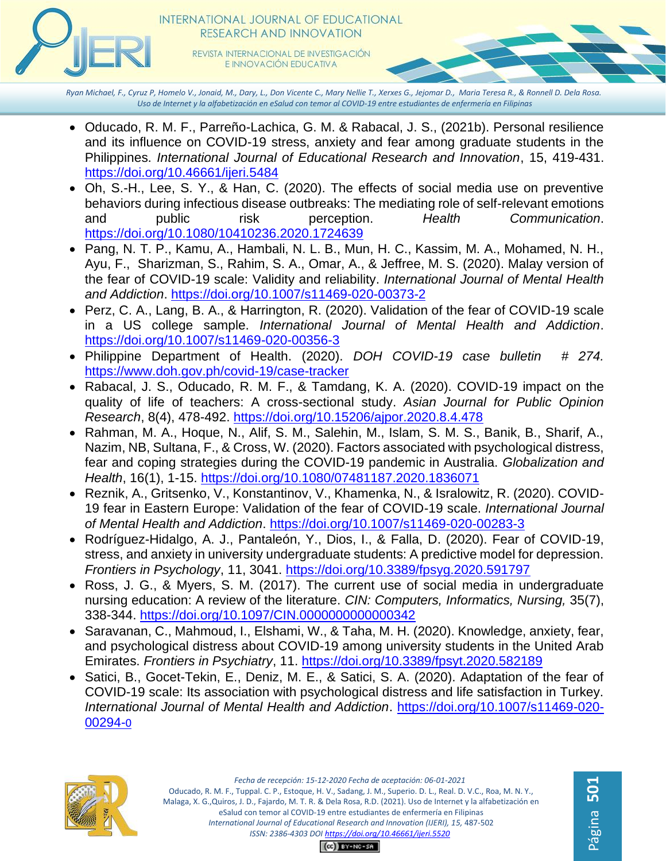

E INNOVACIÓN EDUCATIVA

*Ryan Michael, F., Cyruz P, Homelo V., Jonaid, M., Dary, L., Don Vicente C., Mary Nellie T., Xerxes G., Jejomar D., Maria Teresa R., & Ronnell D. Dela Rosa. Uso de Internet y la alfabetización en eSalud con temor al COVID-19 entre estudiantes de enfermería en Filipinas*

- Oducado, R. M. F., Parreño-Lachica, G. M. & Rabacal, J. S., (2021b). Personal resilience and its influence on COVID-19 stress, anxiety and fear among graduate students in the Philippines. *International Journal of Educational Research and Innovation*, 15, 419-431. [https://doi.org/10.46661/ijeri.5484](about:blank)
- Oh, S.-H., Lee, S. Y., & Han, C. (2020). The effects of social media use on preventive behaviors during infectious disease outbreaks: The mediating role of self-relevant emotions and public risk perception. *Health Communication*. [https://doi.org/10.1080/10410236.2020.1724639](about:blank)
- Pang, N. T. P., Kamu, A., Hambali, N. L. B., Mun, H. C., Kassim, M. A., Mohamed, N. H., Ayu, F., Sharizman, S., Rahim, S. A., Omar, A., & Jeffree, M. S. (2020). Malay version of the fear of COVID-19 scale: Validity and reliability. *International Journal of Mental Health and Addiction*. [https://doi.org/10.1007/s11469-020-00373-2](about:blank)
- Perz, C. A., Lang, B. A., & Harrington, R. (2020). Validation of the fear of COVID-19 scale in a US college sample. *International Journal of Mental Health and Addiction*. [https://doi.org/10.1007/s11469-020-00356-3](about:blank)
- Philippine Department of Health. (2020). *DOH COVID-19 case bulletin # 274.*  [https://www.doh.gov.ph/covid-19/case-tracker](about:blank)
- Rabacal, J. S., Oducado, R. M. F., & Tamdang, K. A. (2020). COVID-19 impact on the quality of life of teachers: A cross-sectional study. *Asian Journal for Public Opinion Research*, 8(4), 478-492. [https://doi.org/10.15206/ajpor.2020.8.4.478](about:blank)
- Rahman, M. A., Hoque, N., Alif, S. M., Salehin, M., Islam, S. M. S., Banik, B., Sharif, A., Nazim, NB, Sultana, F., & Cross, W. (2020). Factors associated with psychological distress, fear and coping strategies during the COVID-19 pandemic in Australia. *Globalization and Health*, 16(1), 1-15. [https://doi.org/10.1080/07481187.2020.1836071](about:blank)
- Reznik, A., Gritsenko, V., Konstantinov, V., Khamenka, N., & Isralowitz, R. (2020). COVID-19 fear in Eastern Europe: Validation of the fear of COVID-19 scale. *International Journal of Mental Health and Addiction*. [https://doi.org/10.1007/s11469-020-00283-3](about:blank)
- Rodríguez-Hidalgo, A. J., Pantaleón, Y., Dios, I., & Falla, D. (2020). Fear of COVID-19, stress, and anxiety in university undergraduate students: A predictive model for depression. *Frontiers in Psychology*, 11, 3041. [https://doi.org/10.3389/fpsyg.2020.591797](about:blank)
- Ross, J. G., & Myers, S. M. (2017). The current use of social media in undergraduate nursing education: A review of the literature. *CIN: Computers, Informatics, Nursing,* 35(7), 338-344. [https://doi.org/10.1097/CIN.0000000000000342](about:blank)
- Saravanan, C., Mahmoud, I., Elshami, W., & Taha, M. H. (2020). Knowledge, anxiety, fear, and psychological distress about COVID-19 among university students in the United Arab Emirates. *Frontiers in Psychiatry*, 11. [https://doi.org/10.3389/fpsyt.2020.582189](about:blank)
- Satici, B., Gocet-Tekin, E., Deniz, M. E., & Satici, S. A. (2020). Adaptation of the fear of COVID-19 scale: Its association with psychological distress and life satisfaction in Turkey. *International Journal of Mental Health and Addiction*. [https://doi.org/10.1007/s11469-020-](about:blank) [00294-](about:blank)0



Página **501**